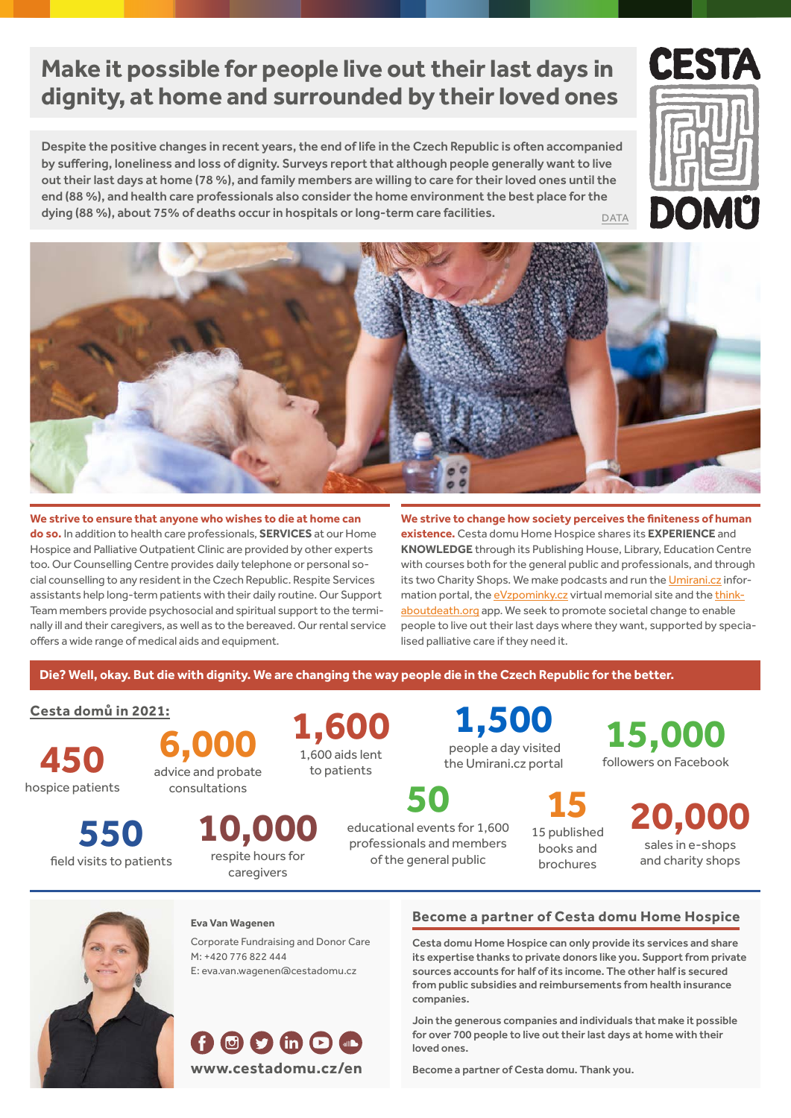# **Make it possible for people live out their last days in dignity, at home and surrounded by their loved ones**

Despite the positive changes in recent years, the end of life in the Czech Republic is often accompanied by suffering, loneliness and loss of dignity. Surveys report that although people generally want to live out their last days at home (78 %), and family members are willing to care for their loved ones until the end (88 %), and health care professionals also consider the home environment the best place for the dying (88 %), about 75% of deaths occur in hospitals or long-term care facilities. DATA





**We strive to ensure that anyone who wishes to die at home can do so.** In addition to health care professionals, **[services](https://www.cestadomu.cz/our-services)** at our Home Hospice and Palliative Outpatient Clinic are provided by other experts too. Our Counselling Centre provides daily telephone or personal social counselling to any resident in the Czech Republic. Respite Services assistants help long-term patients with their daily routine. Our Support Team members provide psychosocial and spiritual support to the terminally ill and their caregivers, as well as to the bereaved. Our rental service offers a wide range of medical aids and equipment.

**We strive to change how society perceives the finiteness of human existence.** Cesta domu Home Hospice shares its **experience** and **knowledge** through its Publishing House, Library, Education Centre with courses both for the general public and professionals, and through its two Charity Shops. We make podcasts and run the [Umirani.cz](https://www.umirani.cz/en/umiranicz-information-and-discussion-about-death-and-dying) information portal, the [eVzpominky.cz](https://www.evzpominky.cz) virtual memorial site and the [think](https://thinkaboutdeath.org)[aboutdeath.org](https://thinkaboutdeath.org) app. We seek to promote societal change to enable people to live out their last days where they want, supported by specialised palliative care if they need it.

**Die? Well, okay. But die with dignity. We are changing the way people die in the Czech Republic for the better.**

### **[Cesta domů in 2021:](https://www.cestadomu.cz/sites/default/files/soubory/2021_annual_report.pdf)**

**550**

field visits to patients

**450** hospice patients

**6,000** advice and probate consultations

**1,600** 1,600 aids lent to patients

**1,500** people a day visited the Umirani.cz portal

**50** educational events for 1,600 professionals and members of the general public

**15** 15 published books and

**20,000** sales in e-shops and charity shops brochures

**15,000** followers on Facebook



#### **Eva Van Wagenen**

**10,000** respite hours for caregivers

Corporate Fundraising and Donor Care M: +420 776 822 444 E: [eva.van.wagenen@cestadomu.cz](mailto:eva.van.wagenen@cestadomu.cz)



#### **[Become a partner of Cesta domu Home Hospice](https://www.cestadomu.cz/en/support-us)**

Cesta domu Home Hospice can only provide its services and share its expertise thanks to private donors like you. Support from private sources accounts for half of its income. The other half is secured from public subsidies and reimbursements from health insurance companies.

Join the generous companies and individuals that make it possible for over 700 people to live out their last days at home with their loved ones.

Become a partner of Cesta domu. Thank you.